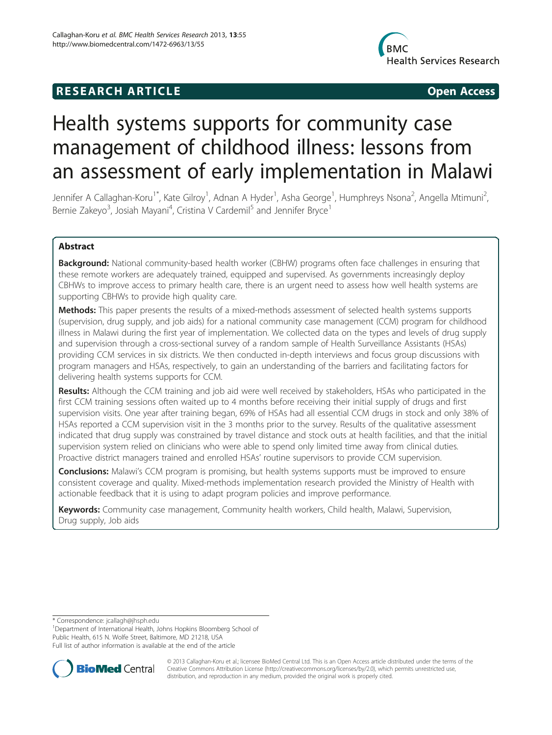# **RESEARCH ARTICLE CONSUMING A RESEARCH ARTICLE**



# Health systems supports for community case management of childhood illness: lessons from an assessment of early implementation in Malawi

Jennifer A Callaghan-Koru<sup>1\*</sup>, Kate Gilroy<sup>1</sup>, Adnan A Hyder<sup>1</sup>, Asha George<sup>1</sup>, Humphreys Nsona<sup>2</sup>, Angella Mtimuni<sup>2</sup> , Bernie Zakeyo<sup>3</sup>, Josiah Mayani<sup>4</sup>, Cristina V Cardemil<sup>5</sup> and Jennifer Bryce<sup>1</sup>

# Abstract

**Background:** National community-based health worker (CBHW) programs often face challenges in ensuring that these remote workers are adequately trained, equipped and supervised. As governments increasingly deploy CBHWs to improve access to primary health care, there is an urgent need to assess how well health systems are supporting CBHWs to provide high quality care.

**Methods:** This paper presents the results of a mixed-methods assessment of selected health systems supports (supervision, drug supply, and job aids) for a national community case management (CCM) program for childhood illness in Malawi during the first year of implementation. We collected data on the types and levels of drug supply and supervision through a cross-sectional survey of a random sample of Health Surveillance Assistants (HSAs) providing CCM services in six districts. We then conducted in-depth interviews and focus group discussions with program managers and HSAs, respectively, to gain an understanding of the barriers and facilitating factors for delivering health systems supports for CCM.

Results: Although the CCM training and job aid were well received by stakeholders, HSAs who participated in the first CCM training sessions often waited up to 4 months before receiving their initial supply of drugs and first supervision visits. One year after training began, 69% of HSAs had all essential CCM drugs in stock and only 38% of HSAs reported a CCM supervision visit in the 3 months prior to the survey. Results of the qualitative assessment indicated that drug supply was constrained by travel distance and stock outs at health facilities, and that the initial supervision system relied on clinicians who were able to spend only limited time away from clinical duties. Proactive district managers trained and enrolled HSAs' routine supervisors to provide CCM supervision.

**Conclusions:** Malawi's CCM program is promising, but health systems supports must be improved to ensure consistent coverage and quality. Mixed-methods implementation research provided the Ministry of Health with actionable feedback that it is using to adapt program policies and improve performance.

Keywords: Community case management, Community health workers, Child health, Malawi, Supervision, Drug supply, Job aids

\* Correspondence: [jcallagh@jhsph.edu](mailto:jcallagh@jhsph.edu) <sup>1</sup>

<sup>1</sup>Department of International Health, Johns Hopkins Bloomberg School of Public Health, 615 N. Wolfe Street, Baltimore, MD 21218, USA Full list of author information is available at the end of the article



© 2013 Callaghan-Koru et al.; licensee BioMed Central Ltd. This is an Open Access article distributed under the terms of the Creative Commons Attribution License (<http://creativecommons.org/licenses/by/2.0>), which permits unrestricted use, distribution, and reproduction in any medium, provided the original work is properly cited.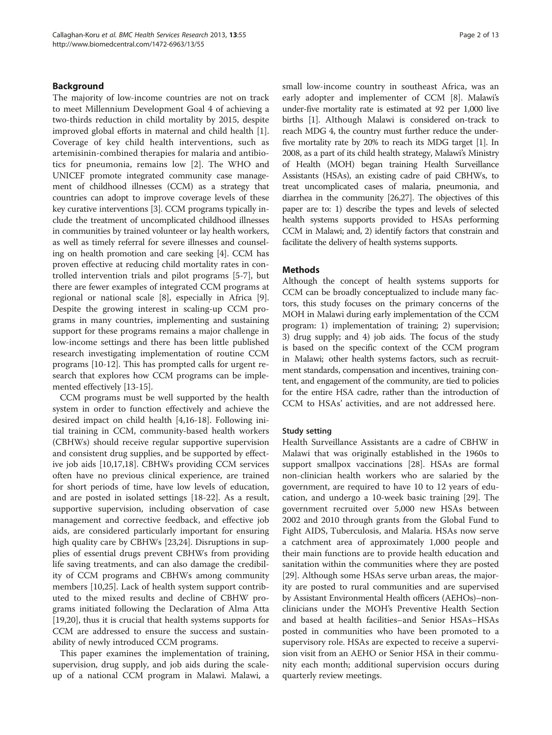## Background

The majority of low-income countries are not on track to meet Millennium Development Goal 4 of achieving a two-thirds reduction in child mortality by 2015, despite improved global efforts in maternal and child health [\[1](#page-11-0)]. Coverage of key child health interventions, such as artemisinin-combined therapies for malaria and antibiotics for pneumonia, remains low [\[2](#page-11-0)]. The WHO and UNICEF promote integrated community case management of childhood illnesses (CCM) as a strategy that countries can adopt to improve coverage levels of these key curative interventions [[3](#page-11-0)]. CCM programs typically include the treatment of uncomplicated childhood illnesses in communities by trained volunteer or lay health workers, as well as timely referral for severe illnesses and counseling on health promotion and care seeking [\[4\]](#page-11-0). CCM has proven effective at reducing child mortality rates in controlled intervention trials and pilot programs [\[5](#page-11-0)-[7](#page-11-0)], but there are fewer examples of integrated CCM programs at regional or national scale [[8\]](#page-11-0), especially in Africa [\[9](#page-11-0)]. Despite the growing interest in scaling-up CCM programs in many countries, implementing and sustaining support for these programs remains a major challenge in low-income settings and there has been little published research investigating implementation of routine CCM programs [[10](#page-11-0)-[12\]](#page-11-0). This has prompted calls for urgent research that explores how CCM programs can be implemented effectively [[13](#page-11-0)-[15\]](#page-11-0).

CCM programs must be well supported by the health system in order to function effectively and achieve the desired impact on child health [[4,16-18](#page-11-0)]. Following initial training in CCM, community-based health workers (CBHWs) should receive regular supportive supervision and consistent drug supplies, and be supported by effective job aids [\[10,17,18](#page-11-0)]. CBHWs providing CCM services often have no previous clinical experience, are trained for short periods of time, have low levels of education, and are posted in isolated settings [\[18](#page-11-0)-[22](#page-11-0)]. As a result, supportive supervision, including observation of case management and corrective feedback, and effective job aids, are considered particularly important for ensuring high quality care by CBHWs [[23,24\]](#page-11-0). Disruptions in supplies of essential drugs prevent CBHWs from providing life saving treatments, and can also damage the credibility of CCM programs and CBHWs among community members [[10](#page-11-0),[25](#page-12-0)]. Lack of health system support contributed to the mixed results and decline of CBHW programs initiated following the Declaration of Alma Atta [[19,20\]](#page-11-0), thus it is crucial that health systems supports for CCM are addressed to ensure the success and sustainability of newly introduced CCM programs.

This paper examines the implementation of training, supervision, drug supply, and job aids during the scaleup of a national CCM program in Malawi. Malawi, a small low-income country in southeast Africa, was an early adopter and implementer of CCM [\[8](#page-11-0)]. Malawi's under-five mortality rate is estimated at 92 per 1,000 live births [\[1\]](#page-11-0). Although Malawi is considered on-track to reach MDG 4, the country must further reduce the underfive mortality rate by 20% to reach its MDG target [[1\]](#page-11-0). In 2008, as a part of its child health strategy, Malawi's Ministry of Health (MOH) began training Health Surveillance Assistants (HSAs), an existing cadre of paid CBHWs, to treat uncomplicated cases of malaria, pneumonia, and diarrhea in the community [\[26,27\]](#page-12-0). The objectives of this paper are to: 1) describe the types and levels of selected health systems supports provided to HSAs performing CCM in Malawi; and, 2) identify factors that constrain and facilitate the delivery of health systems supports.

#### **Methods**

Although the concept of health systems supports for CCM can be broadly conceptualized to include many factors, this study focuses on the primary concerns of the MOH in Malawi during early implementation of the CCM program: 1) implementation of training; 2) supervision; 3) drug supply; and 4) job aids. The focus of the study is based on the specific context of the CCM program in Malawi; other health systems factors, such as recruitment standards, compensation and incentives, training content, and engagement of the community, are tied to policies for the entire HSA cadre, rather than the introduction of CCM to HSAs' activities, and are not addressed here.

#### Study setting

Health Surveillance Assistants are a cadre of CBHW in Malawi that was originally established in the 1960s to support smallpox vaccinations [[28](#page-12-0)]. HSAs are formal non-clinician health workers who are salaried by the government, are required to have 10 to 12 years of education, and undergo a 10-week basic training [\[29](#page-12-0)]. The government recruited over 5,000 new HSAs between 2002 and 2010 through grants from the Global Fund to Fight AIDS, Tuberculosis, and Malaria. HSAs now serve a catchment area of approximately 1,000 people and their main functions are to provide health education and sanitation within the communities where they are posted [[29\]](#page-12-0). Although some HSAs serve urban areas, the majority are posted to rural communities and are supervised by Assistant Environmental Health officers (AEHOs)–nonclinicians under the MOH's Preventive Health Section and based at health facilities–and Senior HSAs–HSAs posted in communities who have been promoted to a supervisory role. HSAs are expected to receive a supervision visit from an AEHO or Senior HSA in their community each month; additional supervision occurs during quarterly review meetings.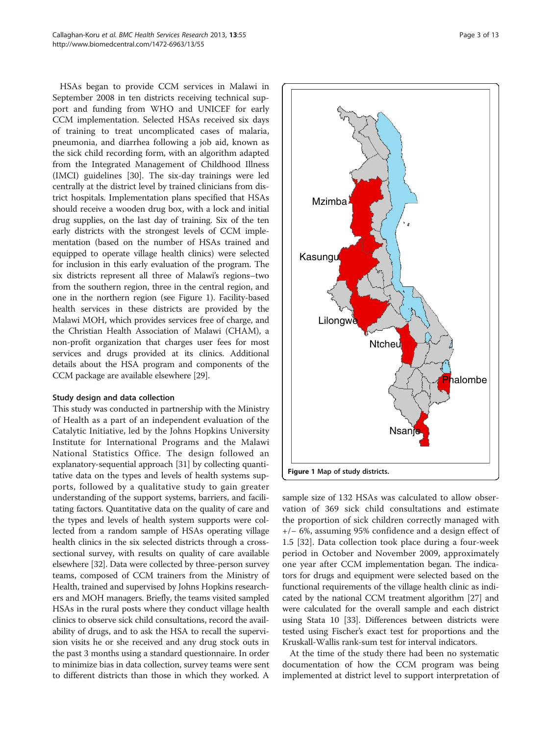HSAs began to provide CCM services in Malawi in September 2008 in ten districts receiving technical support and funding from WHO and UNICEF for early CCM implementation. Selected HSAs received six days of training to treat uncomplicated cases of malaria, pneumonia, and diarrhea following a job aid, known as the sick child recording form, with an algorithm adapted from the Integrated Management of Childhood Illness (IMCI) guidelines [\[30\]](#page-12-0). The six-day trainings were led centrally at the district level by trained clinicians from district hospitals. Implementation plans specified that HSAs should receive a wooden drug box, with a lock and initial drug supplies, on the last day of training. Six of the ten early districts with the strongest levels of CCM implementation (based on the number of HSAs trained and equipped to operate village health clinics) were selected for inclusion in this early evaluation of the program. The six districts represent all three of Malawi's regions–two from the southern region, three in the central region, and one in the northern region (see Figure 1). Facility-based health services in these districts are provided by the Malawi MOH, which provides services free of charge, and the Christian Health Association of Malawi (CHAM), a non-profit organization that charges user fees for most services and drugs provided at its clinics. Additional details about the HSA program and components of the CCM package are available elsewhere [[29](#page-12-0)].

#### Study design and data collection

This study was conducted in partnership with the Ministry of Health as a part of an independent evaluation of the Catalytic Initiative, led by the Johns Hopkins University Institute for International Programs and the Malawi National Statistics Office. The design followed an explanatory-sequential approach [[31](#page-12-0)] by collecting quantitative data on the types and levels of health systems supports, followed by a qualitative study to gain greater understanding of the support systems, barriers, and facilitating factors. Quantitative data on the quality of care and the types and levels of health system supports were collected from a random sample of HSAs operating village health clinics in the six selected districts through a crosssectional survey, with results on quality of care available elsewhere [\[32\]](#page-12-0). Data were collected by three-person survey teams, composed of CCM trainers from the Ministry of Health, trained and supervised by Johns Hopkins researchers and MOH managers. Briefly, the teams visited sampled HSAs in the rural posts where they conduct village health clinics to observe sick child consultations, record the availability of drugs, and to ask the HSA to recall the supervision visits he or she received and any drug stock outs in the past 3 months using a standard questionnaire. In order to minimize bias in data collection, survey teams were sent to different districts than those in which they worked. A



sample size of 132 HSAs was calculated to allow observation of 369 sick child consultations and estimate the proportion of sick children correctly managed with +/− 6%, assuming 95% confidence and a design effect of 1.5 [[32\]](#page-12-0). Data collection took place during a four-week period in October and November 2009, approximately one year after CCM implementation began. The indicators for drugs and equipment were selected based on the functional requirements of the village health clinic as indicated by the national CCM treatment algorithm [[27](#page-12-0)] and were calculated for the overall sample and each district using Stata 10 [\[33\]](#page-12-0). Differences between districts were tested using Fischer's exact test for proportions and the Kruskall-Wallis rank-sum test for interval indicators.

At the time of the study there had been no systematic documentation of how the CCM program was being implemented at district level to support interpretation of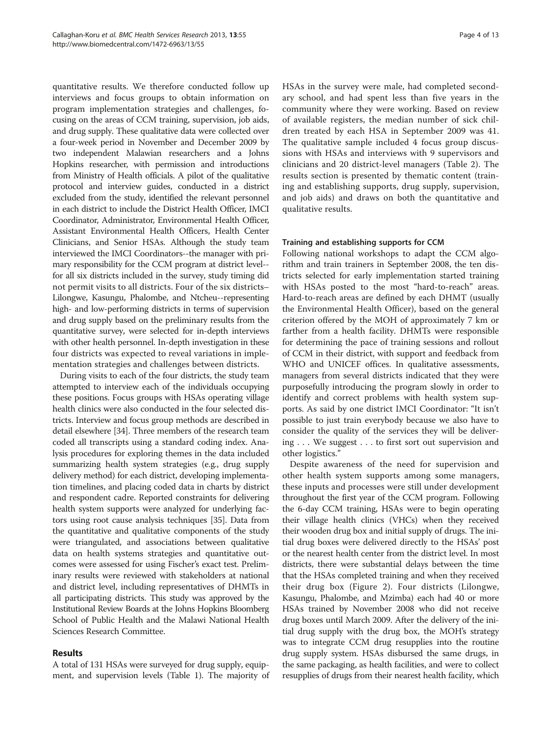quantitative results. We therefore conducted follow up interviews and focus groups to obtain information on program implementation strategies and challenges, focusing on the areas of CCM training, supervision, job aids, and drug supply. These qualitative data were collected over a four-week period in November and December 2009 by two independent Malawian researchers and a Johns Hopkins researcher, with permission and introductions from Ministry of Health officials. A pilot of the qualitative protocol and interview guides, conducted in a district excluded from the study, identified the relevant personnel in each district to include the District Health Officer, IMCI Coordinator, Administrator, Environmental Health Officer, Assistant Environmental Health Officers, Health Center Clinicians, and Senior HSAs. Although the study team interviewed the IMCI Coordinators--the manager with primary responsibility for the CCM program at district level- for all six districts included in the survey, study timing did not permit visits to all districts. Four of the six districts– Lilongwe, Kasungu, Phalombe, and Ntcheu--representing high- and low-performing districts in terms of supervision and drug supply based on the preliminary results from the quantitative survey, were selected for in-depth interviews with other health personnel. In-depth investigation in these four districts was expected to reveal variations in implementation strategies and challenges between districts.

During visits to each of the four districts, the study team attempted to interview each of the individuals occupying these positions. Focus groups with HSAs operating village health clinics were also conducted in the four selected districts. Interview and focus group methods are described in detail elsewhere [[34](#page-12-0)]. Three members of the research team coded all transcripts using a standard coding index. Analysis procedures for exploring themes in the data included summarizing health system strategies (e.g., drug supply delivery method) for each district, developing implementation timelines, and placing coded data in charts by district and respondent cadre. Reported constraints for delivering health system supports were analyzed for underlying factors using root cause analysis techniques [\[35\]](#page-12-0). Data from the quantitative and qualitative components of the study were triangulated, and associations between qualitative data on health systems strategies and quantitative outcomes were assessed for using Fischer's exact test. Preliminary results were reviewed with stakeholders at national and district level, including representatives of DHMTs in all participating districts. This study was approved by the Institutional Review Boards at the Johns Hopkins Bloomberg School of Public Health and the Malawi National Health Sciences Research Committee.

# Results

A total of 131 HSAs were surveyed for drug supply, equipment, and supervision levels (Table [1\)](#page-4-0). The majority of HSAs in the survey were male, had completed secondary school, and had spent less than five years in the community where they were working. Based on review of available registers, the median number of sick children treated by each HSA in September 2009 was 41. The qualitative sample included 4 focus group discussions with HSAs and interviews with 9 supervisors and clinicians and 20 district-level managers (Table [2](#page-5-0)). The results section is presented by thematic content (training and establishing supports, drug supply, supervision, and job aids) and draws on both the quantitative and qualitative results.

# Training and establishing supports for CCM

Following national workshops to adapt the CCM algorithm and train trainers in September 2008, the ten districts selected for early implementation started training with HSAs posted to the most "hard-to-reach" areas. Hard-to-reach areas are defined by each DHMT (usually the Environmental Health Officer), based on the general criterion offered by the MOH of approximately 7 km or farther from a health facility. DHMTs were responsible for determining the pace of training sessions and rollout of CCM in their district, with support and feedback from WHO and UNICEF offices. In qualitative assessments, managers from several districts indicated that they were purposefully introducing the program slowly in order to identify and correct problems with health system supports. As said by one district IMCI Coordinator: "It isn't possible to just train everybody because we also have to consider the quality of the services they will be delivering . . . We suggest . . . to first sort out supervision and other logistics."

Despite awareness of the need for supervision and other health system supports among some managers, these inputs and processes were still under development throughout the first year of the CCM program. Following the 6-day CCM training, HSAs were to begin operating their village health clinics (VHCs) when they received their wooden drug box and initial supply of drugs. The initial drug boxes were delivered directly to the HSAs' post or the nearest health center from the district level. In most districts, there were substantial delays between the time that the HSAs completed training and when they received their drug box (Figure [2](#page-5-0)). Four districts (Lilongwe, Kasungu, Phalombe, and Mzimba) each had 40 or more HSAs trained by November 2008 who did not receive drug boxes until March 2009. After the delivery of the initial drug supply with the drug box, the MOH's strategy was to integrate CCM drug resupplies into the routine drug supply system. HSAs disbursed the same drugs, in the same packaging, as health facilities, and were to collect resupplies of drugs from their nearest health facility, which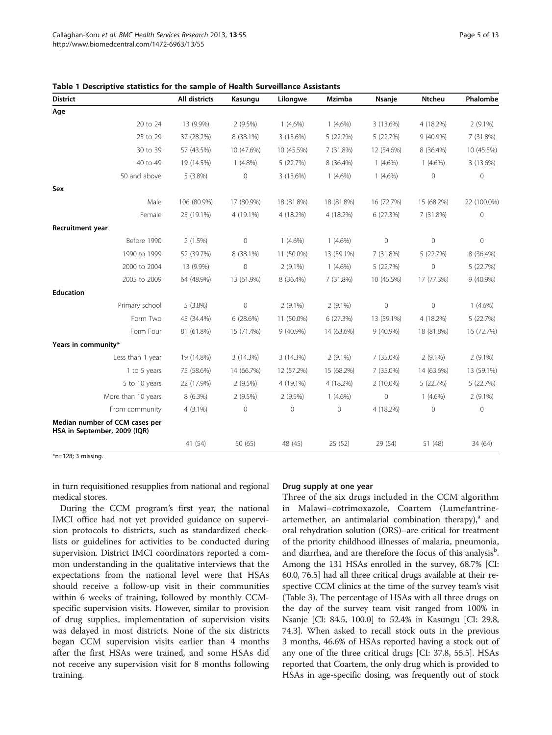| <b>District</b>                                                | All districts | Kasungu     | Lilongwe    | <b>Mzimba</b> | Nsanje              | Ntcheu         | Phalombe    |
|----------------------------------------------------------------|---------------|-------------|-------------|---------------|---------------------|----------------|-------------|
| Age                                                            |               |             |             |               |                     |                |             |
| 20 to 24                                                       | 13 (9.9%)     | 2 (9.5%)    | $1(4.6\%)$  | $1(4.6\%)$    | 3 (13.6%)           | 4 (18.2%)      | $2(9.1\%)$  |
| 25 to 29                                                       | 37 (28.2%)    | 8 (38.1%)   | 3 (13.6%)   | 5 (22.7%)     | 5 (22.7%)           | 9 (40.9%)      | 7 (31.8%)   |
| 30 to 39                                                       | 57 (43.5%)    | 10 (47.6%)  | 10 (45.5%)  | 7 (31.8%)     | 12 (54.6%)          | 8 (36.4%)      | 10 (45.5%)  |
| 40 to 49                                                       | 19 (14.5%)    | $1(4.8\%)$  | 5 (22.7%)   | 8 (36.4%)     | $1(4.6\%)$          | $1(4.6\%)$     | 3 (13.6%)   |
| 50 and above                                                   | $5(3.8\%)$    | 0           | 3 (13.6%)   | $1(4.6\%)$    | $1(4.6\%)$          | $\mathbf 0$    | $\mathbb O$ |
| Sex                                                            |               |             |             |               |                     |                |             |
| Male                                                           | 106 (80.9%)   | 17 (80.9%)  | 18 (81.8%)  | 18 (81.8%)    | 16 (72.7%)          | 15 (68.2%)     | 22 (100.0%) |
| Female                                                         | 25 (19.1%)    | 4 (19.1%)   | 4 (18.2%)   | 4 (18.2%)     | 6 (27.3%)           | 7 (31.8%)      | $\mathbb O$ |
| Recruitment year                                               |               |             |             |               |                     |                |             |
| Before 1990                                                    | 2(1.5%)       | $\circ$     | $1(4.6\%)$  | $1(4.6\%)$    | $\circ$             | $\mathbf 0$    | $\mathbf 0$ |
| 1990 to 1999                                                   | 52 (39.7%)    | 8 (38.1%)   | 11 (50.0%)  | 13 (59.1%)    | 7 (31.8%)           | 5 (22.7%)      | 8 (36.4%)   |
| 2000 to 2004                                                   | 13 (9.9%)     | 0           | $2(9.1\%)$  | $1(4.6\%)$    | 5 (22.7%)           | $\overline{0}$ | 5(22.7%)    |
| 2005 to 2009                                                   | 64 (48.9%)    | 13 (61.9%)  | 8 (36.4%)   | 7 (31.8%)     | 10 (45.5%)          | 17 (77.3%)     | 9 (40.9%)   |
| <b>Education</b>                                               |               |             |             |               |                     |                |             |
| Primary school                                                 | $5(3.8\%)$    | $\mathbf 0$ | $2(9.1\%)$  | $2(9.1\%)$    | $\circ$             | $\mathbf 0$    | $1(4.6\%)$  |
| Form Two                                                       | 45 (34.4%)    | 6 (28.6%)   | 11 (50.0%)  | 6 (27.3%)     | 13 (59.1%)          | 4 (18.2%)      | 5 (22.7%)   |
| Form Four                                                      | 81 (61.8%)    | 15 (71.4%)  | 9 (40.9%)   | 14 (63.6%)    | 9 (40.9%)           | 18 (81.8%)     | 16 (72.7%)  |
| Years in community*                                            |               |             |             |               |                     |                |             |
| Less than 1 year                                               | 19 (14.8%)    | 3 (14.3%)   | 3 (14.3%)   | $2(9.1\%)$    | 7 (35.0%)           | $2(9.1\%)$     | $2(9.1\%)$  |
| 1 to 5 years                                                   | 75 (58.6%)    | 14 (66.7%)  | 12 (57.2%)  | 15 (68.2%)    | 7 (35.0%)           | 14 (63.6%)     | 13 (59.1%)  |
| 5 to 10 years                                                  | 22 (17.9%)    | 2(9.5%)     | 4 (19.1%)   | 4 (18.2%)     | 2 (10.0%)           | 5 (22.7%)      | 5(22.7%)    |
| More than 10 years                                             | 8 (6.3%)      | 2 (9.5%)    | 2 (9.5%)    | $1(4.6\%)$    | $\mathsf{O}\xspace$ | $1(4.6\%)$     | $2(9.1\%)$  |
| From community                                                 | $4(3.1\%)$    | $\mathbb O$ | $\mathbf 0$ | 0             | 4 (18.2%)           | $\mathbf 0$    | $\mathbb O$ |
| Median number of CCM cases per<br>HSA in September, 2009 (IQR) |               |             |             |               |                     |                |             |
|                                                                | 41 (54)       | 50 (65)     | 48 (45)     | 25 (52)       | 29 (54)             | 51 (48)        | 34 (64)     |

<span id="page-4-0"></span>Table 1 Descriptive statistics for the sample of Health Surveillance Assistants

\*n=128; 3 missing.

in turn requisitioned resupplies from national and regional medical stores.

During the CCM program's first year, the national IMCI office had not yet provided guidance on supervision protocols to districts, such as standardized checklists or guidelines for activities to be conducted during supervision. District IMCI coordinators reported a common understanding in the qualitative interviews that the expectations from the national level were that HSAs should receive a follow-up visit in their communities within 6 weeks of training, followed by monthly CCMspecific supervision visits. However, similar to provision of drug supplies, implementation of supervision visits was delayed in most districts. None of the six districts began CCM supervision visits earlier than 4 months after the first HSAs were trained, and some HSAs did not receive any supervision visit for 8 months following training.

#### Drug supply at one year

Three of the six drugs included in the CCM algorithm in Malawi–cotrimoxazole, Coartem (Lumefantrineartemether, an antimalarial combination therapy), $a$  and oral rehydration solution (ORS)–are critical for treatment of the priority childhood illnesses of malaria, pneumonia, and diarrhea, and are therefore the focus of this analysis<sup>b</sup>. Among the 131 HSAs enrolled in the survey, 68.7% [CI: 60.0, 76.5] had all three critical drugs available at their respective CCM clinics at the time of the survey team's visit (Table [3](#page-6-0)). The percentage of HSAs with all three drugs on the day of the survey team visit ranged from 100% in Nsanje [CI: 84.5, 100.0] to 52.4% in Kasungu [CI: 29.8, 74.3]. When asked to recall stock outs in the previous 3 months, 46.6% of HSAs reported having a stock out of any one of the three critical drugs [CI: 37.8, 55.5]. HSAs reported that Coartem, the only drug which is provided to HSAs in age-specific dosing, was frequently out of stock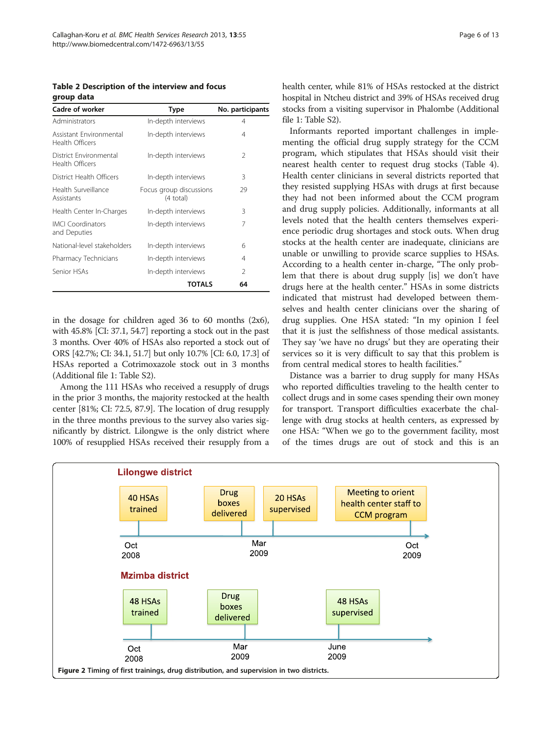<span id="page-5-0"></span>Table 2 Description of the interview and focus group data

| Administrators<br>In-depth interviews<br>4<br>Assistant Environmental<br>In-depth interviews<br>4<br><b>Health Officers</b><br>District Environmental<br>In-depth interviews<br>2<br>Health Officers<br>District Health Officers<br>3<br>In-depth interviews<br>Health Surveillance<br>Focus group discussions<br>29<br>(4 total)<br>Assistants<br>3<br>Health Center In-Charges<br>In-depth interviews<br>7<br><b>IMCLCoordinators</b><br>In-depth interviews<br>and Deputies<br>National-level stakeholders<br>In-depth interviews<br>6<br>Pharmacy Technicians<br>In-depth interviews<br>4<br>Senior HSAs<br>$\mathfrak{D}$<br>In-depth interviews<br>TOTALS<br>64 | Cadre of worker | Type | No. participants |  |  |
|-----------------------------------------------------------------------------------------------------------------------------------------------------------------------------------------------------------------------------------------------------------------------------------------------------------------------------------------------------------------------------------------------------------------------------------------------------------------------------------------------------------------------------------------------------------------------------------------------------------------------------------------------------------------------|-----------------|------|------------------|--|--|
|                                                                                                                                                                                                                                                                                                                                                                                                                                                                                                                                                                                                                                                                       |                 |      |                  |  |  |
|                                                                                                                                                                                                                                                                                                                                                                                                                                                                                                                                                                                                                                                                       |                 |      |                  |  |  |
|                                                                                                                                                                                                                                                                                                                                                                                                                                                                                                                                                                                                                                                                       |                 |      |                  |  |  |
|                                                                                                                                                                                                                                                                                                                                                                                                                                                                                                                                                                                                                                                                       |                 |      |                  |  |  |
|                                                                                                                                                                                                                                                                                                                                                                                                                                                                                                                                                                                                                                                                       |                 |      |                  |  |  |
|                                                                                                                                                                                                                                                                                                                                                                                                                                                                                                                                                                                                                                                                       |                 |      |                  |  |  |
|                                                                                                                                                                                                                                                                                                                                                                                                                                                                                                                                                                                                                                                                       |                 |      |                  |  |  |
|                                                                                                                                                                                                                                                                                                                                                                                                                                                                                                                                                                                                                                                                       |                 |      |                  |  |  |
|                                                                                                                                                                                                                                                                                                                                                                                                                                                                                                                                                                                                                                                                       |                 |      |                  |  |  |
|                                                                                                                                                                                                                                                                                                                                                                                                                                                                                                                                                                                                                                                                       |                 |      |                  |  |  |
|                                                                                                                                                                                                                                                                                                                                                                                                                                                                                                                                                                                                                                                                       |                 |      |                  |  |  |

in the dosage for children aged 36 to 60 months (2x6), with 45.8% [CI: 37.1, 54.7] reporting a stock out in the past 3 months. Over 40% of HSAs also reported a stock out of ORS [42.7%; CI: 34.1, 51.7] but only 10.7% [CI: 6.0, 17.3] of HSAs reported a Cotrimoxazole stock out in 3 months (Additional file [1](#page-11-0): Table S2).

Among the 111 HSAs who received a resupply of drugs in the prior 3 months, the majority restocked at the health center [81%; CI: 72.5, 87.9]. The location of drug resupply in the three months previous to the survey also varies significantly by district. Lilongwe is the only district where 100% of resupplied HSAs received their resupply from a health center, while 81% of HSAs restocked at the district hospital in Ntcheu district and 39% of HSAs received drug stocks from a visiting supervisor in Phalombe (Additional file [1](#page-11-0): Table S2).

Informants reported important challenges in implementing the official drug supply strategy for the CCM program, which stipulates that HSAs should visit their nearest health center to request drug stocks (Table [4](#page-7-0)). Health center clinicians in several districts reported that they resisted supplying HSAs with drugs at first because they had not been informed about the CCM program and drug supply policies. Additionally, informants at all levels noted that the health centers themselves experience periodic drug shortages and stock outs. When drug stocks at the health center are inadequate, clinicians are unable or unwilling to provide scarce supplies to HSAs. According to a health center in-charge, "The only problem that there is about drug supply [is] we don't have drugs here at the health center." HSAs in some districts indicated that mistrust had developed between themselves and health center clinicians over the sharing of drug supplies. One HSA stated: "In my opinion I feel that it is just the selfishness of those medical assistants. They say 'we have no drugs' but they are operating their services so it is very difficult to say that this problem is from central medical stores to health facilities."

Distance was a barrier to drug supply for many HSAs who reported difficulties traveling to the health center to collect drugs and in some cases spending their own money for transport. Transport difficulties exacerbate the challenge with drug stocks at health centers, as expressed by one HSA: "When we go to the government facility, most of the times drugs are out of stock and this is an

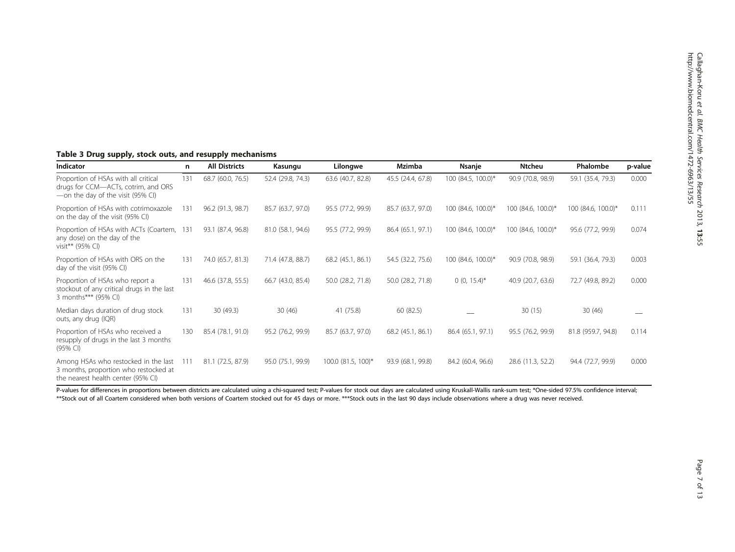# <span id="page-6-0"></span>Table 3 Drug supply, stock outs, and resupply mechanisms

| Indicator                                                                                                           | n   | <b>All Districts</b> | Kasungu           | Lilongwe           | <b>Mzimba</b>     | <b>Nsanje</b>      | Ntcheu             | Phalombe           | p-value |
|---------------------------------------------------------------------------------------------------------------------|-----|----------------------|-------------------|--------------------|-------------------|--------------------|--------------------|--------------------|---------|
| Proportion of HSAs with all critical<br>drugs for CCM-ACTs, cotrim, and ORS<br>-on the day of the visit (95% CI)    | 131 | 68.7 (60.0, 76.5)    | 52.4 (29.8, 74.3) | 63.6 (40.7, 82.8)  | 45.5 (24.4, 67.8) | 100 (84.5, 100.0)* | 90.9 (70.8, 98.9)  | 59.1 (35.4, 79.3)  | 0.000   |
| Proportion of HSAs with cotrimoxazole<br>on the day of the visit (95% CI)                                           | 131 | 96.2 (91.3, 98.7)    | 85.7 (63.7, 97.0) | 95.5 (77.2, 99.9)  | 85.7 (63.7, 97.0) | 100 (84.6, 100.0)* | 100 (84.6, 100.0)* | 100 (84.6, 100.0)* | 0.111   |
| Proportion of HSAs with ACTs (Coartem, 131<br>any dose) on the day of the<br>visit** (95% CI)                       |     | 93.1 (87.4, 96.8)    | 81.0 (58.1, 94.6) | 95.5 (77.2, 99.9)  | 86.4 (65.1, 97.1) | 100 (84.6, 100.0)* | 100 (84.6, 100.0)* | 95.6 (77.2, 99.9)  | 0.074   |
| Proportion of HSAs with ORS on the<br>day of the visit (95% CI)                                                     | 131 | 74.0 (65.7, 81.3)    | 71.4 (47.8, 88.7) | 68.2 (45.1, 86.1)  | 54.5 (32.2, 75.6) | 100 (84.6, 100.0)* | 90.9 (70.8, 98.9)  | 59.1 (36.4, 79.3)  | 0.003   |
| Proportion of HSAs who report a<br>stockout of any critical drugs in the last<br>3 months*** (95% CI)               | 131 | 46.6 (37.8, 55.5)    | 66.7 (43.0, 85.4) | 50.0 (28.2, 71.8)  | 50.0 (28.2, 71.8) | $0(0, 15.4)^*$     | 40.9 (20.7, 63.6)  | 72.7 (49.8, 89.2)  | 0.000   |
| Median days duration of drug stock<br>outs, any drug (IQR)                                                          | 131 | 30 (49.3)            | 30(46)            | 41 (75.8)          | 60 (82.5)         |                    | 30(15)             | 30(46)             |         |
| Proportion of HSAs who received a<br>resupply of drugs in the last 3 months<br>$(95%$ CI)                           | 130 | 85.4 (78.1, 91.0)    | 95.2 (76.2, 99.9) | 85.7 (63.7, 97.0)  | 68.2 (45.1, 86.1) | 86.4 (65.1, 97.1)  | 95.5 (76.2, 99.9)  | 81.8 (959.7, 94.8) | 0.114   |
| Among HSAs who restocked in the last<br>3 months, proportion who restocked at<br>the nearest health center (95% CI) | 111 | 81.1 (72.5, 87.9)    | 95.0 (75.1, 99.9) | 100.0 (81.5, 100)* | 93.9 (68.1, 99.8) | 84.2 (60.4, 96.6)  | 28.6 (11.3, 52.2)  | 94.4 (72.7, 99.9)  | 0.000   |

P-values for differences in proportions between districts are calculated using a chi-squared test; P-values for stock out days are calculated using Kruskall-Wallis rank-sum test; \*One-sided 97.5% confidence interval; \*\*Stock out of all Coartem considered when both versions of Coartem stocked out for 45 days or more. \*\*\*Stock outs in the last 90 days include observations where a drug was never received.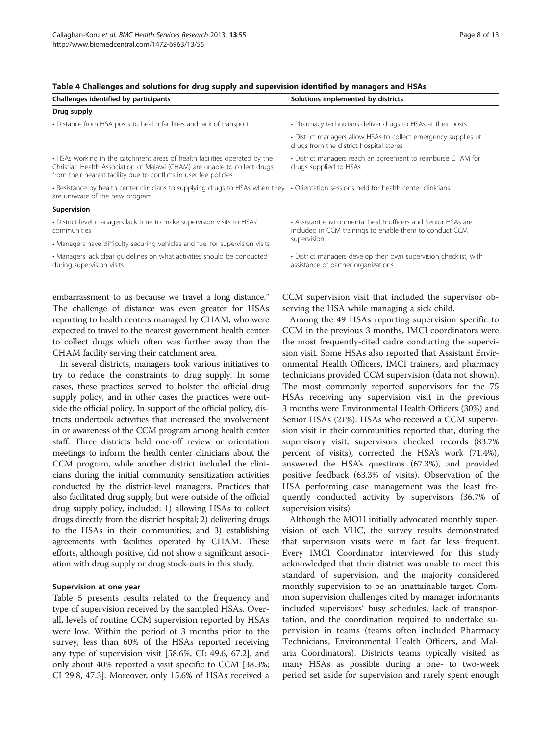| Challenges identified by participants                                                                                                                                                                                        | Solutions implemented by districts                                                                                       |  |  |  |  |
|------------------------------------------------------------------------------------------------------------------------------------------------------------------------------------------------------------------------------|--------------------------------------------------------------------------------------------------------------------------|--|--|--|--|
| Drug supply                                                                                                                                                                                                                  |                                                                                                                          |  |  |  |  |
| • Distance from HSA posts to health facilities and lack of transport                                                                                                                                                         | • Pharmacy technicians deliver drugs to HSAs at their posts                                                              |  |  |  |  |
|                                                                                                                                                                                                                              | • District managers allow HSAs to collect emergency supplies of<br>drugs from the district hospital stores               |  |  |  |  |
| • HSAs working in the catchment areas of health facilities operated by the<br>Christian Health Association of Malawi (CHAM) are unable to collect drugs<br>from their nearest facility due to conflicts in user fee policies | • District managers reach an agreement to reimburse CHAM for<br>drugs supplied to HSAs                                   |  |  |  |  |
| • Resistance by health center clinicians to supplying drugs to HSAs when they • Orientation sessions held for health center clinicians<br>are unaware of the new program                                                     |                                                                                                                          |  |  |  |  |
| Supervision                                                                                                                                                                                                                  |                                                                                                                          |  |  |  |  |
| . District-level managers lack time to make supervision visits to HSAs'<br>communities                                                                                                                                       | • Assistant environmental health officers and Senior HSAs are<br>included in CCM trainings to enable them to conduct CCM |  |  |  |  |
| • Managers have difficulty securing vehicles and fuel for supervision visits                                                                                                                                                 | supervision                                                                                                              |  |  |  |  |
| • Managers lack clear quidelines on what activities should be conducted<br>during supervision visits                                                                                                                         | • District managers develop their own supervision checklist, with<br>assistance of partner organizations                 |  |  |  |  |

<span id="page-7-0"></span>Table 4 Challenges and solutions for drug supply and supervision identified by managers and HSAs

embarrassment to us because we travel a long distance." The challenge of distance was even greater for HSAs reporting to health centers managed by CHAM, who were expected to travel to the nearest government health center to collect drugs which often was further away than the CHAM facility serving their catchment area.

In several districts, managers took various initiatives to try to reduce the constraints to drug supply. In some cases, these practices served to bolster the official drug supply policy, and in other cases the practices were outside the official policy. In support of the official policy, districts undertook activities that increased the involvement in or awareness of the CCM program among health center staff. Three districts held one-off review or orientation meetings to inform the health center clinicians about the CCM program, while another district included the clinicians during the initial community sensitization activities conducted by the district-level managers. Practices that also facilitated drug supply, but were outside of the official drug supply policy, included: 1) allowing HSAs to collect drugs directly from the district hospital; 2) delivering drugs to the HSAs in their communities; and 3) establishing agreements with facilities operated by CHAM. These efforts, although positive, did not show a significant association with drug supply or drug stock-outs in this study.

#### Supervision at one year

Table [5](#page-8-0) presents results related to the frequency and type of supervision received by the sampled HSAs. Overall, levels of routine CCM supervision reported by HSAs were low. Within the period of 3 months prior to the survey, less than 60% of the HSAs reported receiving any type of supervision visit [58.6%, CI: 49.6, 67.2], and only about 40% reported a visit specific to CCM [38.3%; CI 29.8, 47.3]. Moreover, only 15.6% of HSAs received a

CCM supervision visit that included the supervisor observing the HSA while managing a sick child.

Among the 49 HSAs reporting supervision specific to CCM in the previous 3 months, IMCI coordinators were the most frequently-cited cadre conducting the supervision visit. Some HSAs also reported that Assistant Environmental Health Officers, IMCI trainers, and pharmacy technicians provided CCM supervision (data not shown). The most commonly reported supervisors for the 75 HSAs receiving any supervision visit in the previous 3 months were Environmental Health Officers (30%) and Senior HSAs (21%). HSAs who received a CCM supervision visit in their communities reported that, during the supervisory visit, supervisors checked records (83.7% percent of visits), corrected the HSA's work (71.4%), answered the HSA's questions (67.3%), and provided positive feedback (63.3% of visits). Observation of the HSA performing case management was the least frequently conducted activity by supervisors (36.7% of supervision visits).

Although the MOH initially advocated monthly supervision of each VHC, the survey results demonstrated that supervision visits were in fact far less frequent. Every IMCI Coordinator interviewed for this study acknowledged that their district was unable to meet this standard of supervision, and the majority considered monthly supervision to be an unattainable target. Common supervision challenges cited by manager informants included supervisors' busy schedules, lack of transportation, and the coordination required to undertake supervision in teams (teams often included Pharmacy Technicians, Environmental Health Officers, and Malaria Coordinators). Districts teams typically visited as many HSAs as possible during a one- to two-week period set aside for supervision and rarely spent enough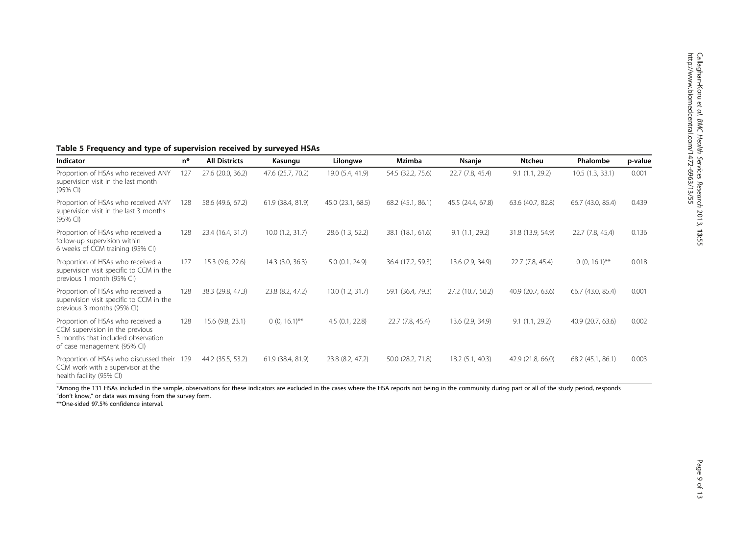# <span id="page-8-0"></span>Table 5 Frequency and type of supervision received by surveyed HSAs

| Indicator                                                                                                                                 | n*  | <b>All Districts</b> | Kasungu              | Lilongwe          | Mzimba            | Nsanje            | <b>Ntcheu</b>     | Phalombe          | p-value |
|-------------------------------------------------------------------------------------------------------------------------------------------|-----|----------------------|----------------------|-------------------|-------------------|-------------------|-------------------|-------------------|---------|
| Proportion of HSAs who received ANY<br>supervision visit in the last month<br>$(95%$ CI)                                                  | 127 | 27.6 (20.0, 36.2)    | 47.6 (25.7, 70.2)    | 19.0 (5.4, 41.9)  | 54.5 (32.2, 75.6) | 22.7(7.8, 45.4)   | 9.1(1.1, 29.2)    | 10.5(1.3, 33.1)   | 0.001   |
| Proportion of HSAs who received ANY<br>supervision visit in the last 3 months<br>$(95%$ CI)                                               | 128 | 58.6 (49.6, 67.2)    | 61.9 (38.4, 81.9)    | 45.0 (23.1, 68.5) | 68.2 (45.1, 86.1) | 45.5 (24.4, 67.8) | 63.6 (40.7, 82.8) | 66.7 (43.0, 85.4) | 0.439   |
| Proportion of HSAs who received a<br>follow-up supervision within<br>6 weeks of CCM training (95% CI)                                     | 128 | 23.4 (16.4, 31.7)    | 10.0(1.2, 31.7)      | 28.6 (1.3, 52.2)  | 38.1 (18.1, 61.6) | 9.1(1.1, 29.2)    | 31.8 (13.9, 54.9) | 22.7 (7.8, 45,4)  | 0.136   |
| Proportion of HSAs who received a<br>supervision visit specific to CCM in the<br>previous 1 month (95% CI)                                | 127 | 15.3 (9.6, 22.6)     | $14.3$ $(3.0, 36.3)$ | 5.0(0.1, 24.9)    | 36.4 (17.2, 59.3) | 13.6 (2.9, 34.9)  | 22.7 (7.8, 45.4)  | $0(0, 16.1)$ **   | 0.018   |
| Proportion of HSAs who received a<br>supervision visit specific to CCM in the<br>previous 3 months (95% CI)                               | 128 | 38.3 (29.8, 47.3)    | 23.8 (8.2, 47.2)     | 10.0(1.2, 31.7)   | 59.1 (36.4, 79.3) | 27.2 (10.7, 50.2) | 40.9 (20.7, 63.6) | 66.7 (43.0, 85.4) | 0.001   |
| Proportion of HSAs who received a<br>CCM supervision in the previous<br>3 months that included observation<br>of case management (95% CI) | 128 | 15.6 (9.8, 23.1)     | $0(0, 16.1)$ **      | 4.5(0.1, 22.8)    | 22.7(7.8, 45.4)   | 13.6 (2.9, 34.9)  | 9.1(1.1, 29.2)    | 40.9 (20.7, 63.6) | 0.002   |
| Proportion of HSAs who discussed their 129<br>CCM work with a supervisor at the<br>health facility (95% CI)                               |     | 44.2 (35.5, 53.2)    | 61.9 (38.4, 81.9)    | 23.8 (8.2, 47.2)  | 50.0 (28.2, 71.8) | 18.2 (5.1, 40.3)  | 42.9 (21.8, 66.0) | 68.2 (45.1, 86.1) | 0.003   |

\*Among the 131 HSAs included in the sample, observations for these indicators are excluded in the cases where the HSA reports not being in the community during part or all of the study period, responds "don't know," or data was missing from the survey form.

\*\*One-sided 97.5% confidence interval.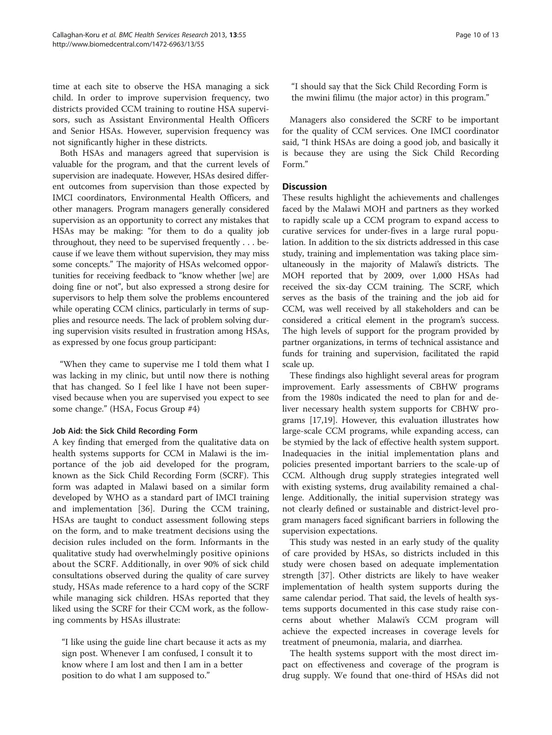time at each site to observe the HSA managing a sick child. In order to improve supervision frequency, two districts provided CCM training to routine HSA supervisors, such as Assistant Environmental Health Officers and Senior HSAs. However, supervision frequency was not significantly higher in these districts.

Both HSAs and managers agreed that supervision is valuable for the program, and that the current levels of supervision are inadequate. However, HSAs desired different outcomes from supervision than those expected by IMCI coordinators, Environmental Health Officers, and other managers. Program managers generally considered supervision as an opportunity to correct any mistakes that HSAs may be making: "for them to do a quality job throughout, they need to be supervised frequently . . . because if we leave them without supervision, they may miss some concepts." The majority of HSAs welcomed opportunities for receiving feedback to "know whether [we] are doing fine or not", but also expressed a strong desire for supervisors to help them solve the problems encountered while operating CCM clinics, particularly in terms of supplies and resource needs. The lack of problem solving during supervision visits resulted in frustration among HSAs, as expressed by one focus group participant:

"When they came to supervise me I told them what I was lacking in my clinic, but until now there is nothing that has changed. So I feel like I have not been supervised because when you are supervised you expect to see some change." (HSA, Focus Group #4)

# Job Aid: the Sick Child Recording Form

A key finding that emerged from the qualitative data on health systems supports for CCM in Malawi is the importance of the job aid developed for the program, known as the Sick Child Recording Form (SCRF). This form was adapted in Malawi based on a similar form developed by WHO as a standard part of IMCI training and implementation [\[36\]](#page-12-0). During the CCM training, HSAs are taught to conduct assessment following steps on the form, and to make treatment decisions using the decision rules included on the form. Informants in the qualitative study had overwhelmingly positive opinions about the SCRF. Additionally, in over 90% of sick child consultations observed during the quality of care survey study, HSAs made reference to a hard copy of the SCRF while managing sick children. HSAs reported that they liked using the SCRF for their CCM work, as the following comments by HSAs illustrate:

"I like using the guide line chart because it acts as my sign post. Whenever I am confused, I consult it to know where I am lost and then I am in a better position to do what I am supposed to."

"I should say that the Sick Child Recording Form is the mwini filimu (the major actor) in this program."

Managers also considered the SCRF to be important for the quality of CCM services. One IMCI coordinator said, "I think HSAs are doing a good job, and basically it is because they are using the Sick Child Recording Form."

# **Discussion**

These results highlight the achievements and challenges faced by the Malawi MOH and partners as they worked to rapidly scale up a CCM program to expand access to curative services for under-fives in a large rural population. In addition to the six districts addressed in this case study, training and implementation was taking place simultaneously in the majority of Malawi's districts. The MOH reported that by 2009, over 1,000 HSAs had received the six-day CCM training. The SCRF, which serves as the basis of the training and the job aid for CCM, was well received by all stakeholders and can be considered a critical element in the program's success. The high levels of support for the program provided by partner organizations, in terms of technical assistance and funds for training and supervision, facilitated the rapid scale up.

These findings also highlight several areas for program improvement. Early assessments of CBHW programs from the 1980s indicated the need to plan for and deliver necessary health system supports for CBHW programs [\[17,19\]](#page-11-0). However, this evaluation illustrates how large-scale CCM programs, while expanding access, can be stymied by the lack of effective health system support. Inadequacies in the initial implementation plans and policies presented important barriers to the scale-up of CCM. Although drug supply strategies integrated well with existing systems, drug availability remained a challenge. Additionally, the initial supervision strategy was not clearly defined or sustainable and district-level program managers faced significant barriers in following the supervision expectations.

This study was nested in an early study of the quality of care provided by HSAs, so districts included in this study were chosen based on adequate implementation strength [\[37\]](#page-12-0). Other districts are likely to have weaker implementation of health system supports during the same calendar period. That said, the levels of health systems supports documented in this case study raise concerns about whether Malawi's CCM program will achieve the expected increases in coverage levels for treatment of pneumonia, malaria, and diarrhea.

The health systems support with the most direct impact on effectiveness and coverage of the program is drug supply. We found that one-third of HSAs did not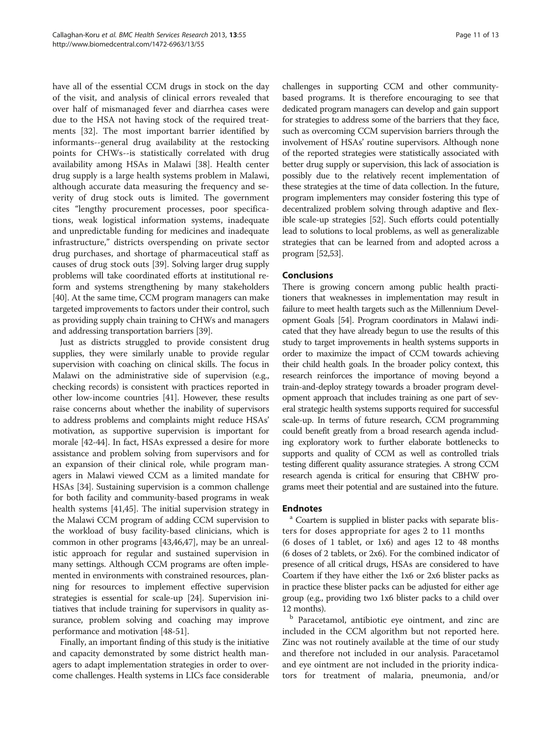have all of the essential CCM drugs in stock on the day of the visit, and analysis of clinical errors revealed that over half of mismanaged fever and diarrhea cases were due to the HSA not having stock of the required treatments [\[32](#page-12-0)]. The most important barrier identified by informants--general drug availability at the restocking points for CHWs--is statistically correlated with drug availability among HSAs in Malawi [[38\]](#page-12-0). Health center drug supply is a large health systems problem in Malawi, although accurate data measuring the frequency and severity of drug stock outs is limited. The government cites "lengthy procurement processes, poor specifications, weak logistical information systems, inadequate and unpredictable funding for medicines and inadequate infrastructure," districts overspending on private sector drug purchases, and shortage of pharmaceutical staff as causes of drug stock outs [\[39](#page-12-0)]. Solving larger drug supply problems will take coordinated efforts at institutional reform and systems strengthening by many stakeholders [[40](#page-12-0)]. At the same time, CCM program managers can make targeted improvements to factors under their control, such as providing supply chain training to CHWs and managers and addressing transportation barriers [[39](#page-12-0)].

Just as districts struggled to provide consistent drug supplies, they were similarly unable to provide regular supervision with coaching on clinical skills. The focus in Malawi on the administrative side of supervision (e.g., checking records) is consistent with practices reported in other low-income countries [\[41](#page-12-0)]. However, these results raise concerns about whether the inability of supervisors to address problems and complaints might reduce HSAs' motivation, as supportive supervision is important for morale [[42](#page-12-0)-[44](#page-12-0)]. In fact, HSAs expressed a desire for more assistance and problem solving from supervisors and for an expansion of their clinical role, while program managers in Malawi viewed CCM as a limited mandate for HSAs [\[34\]](#page-12-0). Sustaining supervision is a common challenge for both facility and community-based programs in weak health systems [[41,45\]](#page-12-0). The initial supervision strategy in the Malawi CCM program of adding CCM supervision to the workload of busy facility-based clinicians, which is common in other programs [\[43,46,47](#page-12-0)], may be an unrealistic approach for regular and sustained supervision in many settings. Although CCM programs are often implemented in environments with constrained resources, planning for resources to implement effective supervision strategies is essential for scale-up [\[24](#page-11-0)]. Supervision initiatives that include training for supervisors in quality assurance, problem solving and coaching may improve performance and motivation [\[48-51\]](#page-12-0).

Finally, an important finding of this study is the initiative and capacity demonstrated by some district health managers to adapt implementation strategies in order to overcome challenges. Health systems in LICs face considerable

challenges in supporting CCM and other communitybased programs. It is therefore encouraging to see that dedicated program managers can develop and gain support for strategies to address some of the barriers that they face, such as overcoming CCM supervision barriers through the involvement of HSAs' routine supervisors. Although none of the reported strategies were statistically associated with better drug supply or supervision, this lack of association is possibly due to the relatively recent implementation of these strategies at the time of data collection. In the future, program implementers may consider fostering this type of decentralized problem solving through adaptive and flexible scale-up strategies [[52](#page-12-0)]. Such efforts could potentially lead to solutions to local problems, as well as generalizable strategies that can be learned from and adopted across a program [\[52,53](#page-12-0)].

# Conclusions

There is growing concern among public health practitioners that weaknesses in implementation may result in failure to meet health targets such as the Millennium Development Goals [[54](#page-12-0)]. Program coordinators in Malawi indicated that they have already begun to use the results of this study to target improvements in health systems supports in order to maximize the impact of CCM towards achieving their child health goals. In the broader policy context, this research reinforces the importance of moving beyond a train-and-deploy strategy towards a broader program development approach that includes training as one part of several strategic health systems supports required for successful scale-up. In terms of future research, CCM programming could benefit greatly from a broad research agenda including exploratory work to further elaborate bottlenecks to supports and quality of CCM as well as controlled trials testing different quality assurance strategies. A strong CCM research agenda is critical for ensuring that CBHW programs meet their potential and are sustained into the future.

**Endnotes**<br><sup>a</sup> Coartem is supplied in blister packs with separate blisters for doses appropriate for ages 2 to 11 months (6 doses of 1 tablet, or 1x6) and ages 12 to 48 months (6 doses of 2 tablets, or 2x6). For the combined indicator of presence of all critical drugs, HSAs are considered to have Coartem if they have either the 1x6 or 2x6 blister packs as in practice these blister packs can be adjusted for either age group (e.g., providing two 1x6 blister packs to a child over 12 months).

<sup>b</sup> Paracetamol, antibiotic eye ointment, and zinc are included in the CCM algorithm but not reported here. Zinc was not routinely available at the time of our study and therefore not included in our analysis. Paracetamol and eye ointment are not included in the priority indicators for treatment of malaria, pneumonia, and/or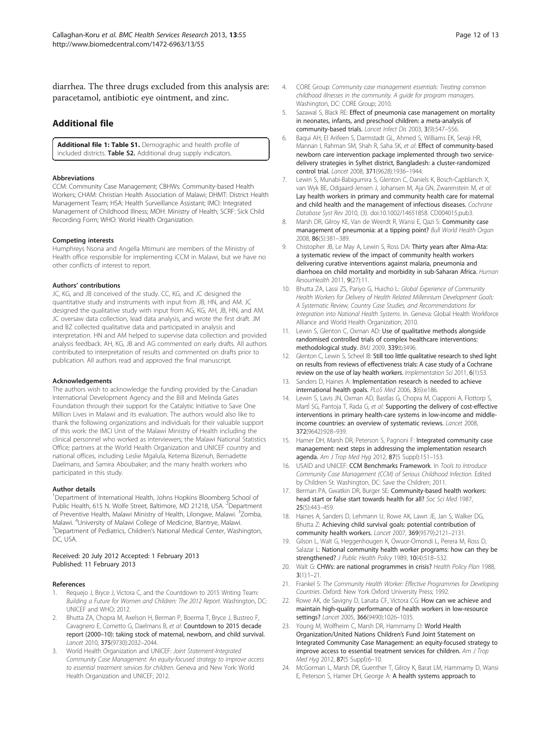<span id="page-11-0"></span>diarrhea. The three drugs excluded from this analysis are: paracetamol, antibiotic eye ointment, and zinc.

# Additional file

[Additional file 1: Table S1.](http://www.biomedcentral.com/content/supplementary/1472-6963-13-55-S1.docx) Demographic and health profile of included districts. Table S2. Additional drug supply indicators.

#### Abbreviations

CCM: Community Case Management; CBHWs: Community-based Health Workers; CHAM: Christian Health Association of Malawi; DHMT: District Health Management Team; HSA: Health Surveillance Assistant; IMCI: Integrated Management of Childhood Illness; MOH: Ministry of Health; SCRF: Sick Child Recording Form; WHO: World Health Organization.

#### Competing interests

Humphreys Nsona and Angella Mtimuni are members of the Ministry of Health office responsible for implementing iCCM in Malawi, but we have no other conflicts of interest to report.

#### Authors' contributions

JC, KG, and JB conceived of the study. CC, KG, and JC designed the quantitative study and instruments with input from JB, HN, and AM. JC designed the qualitative study with input from AG, KG, AH, JB, HN, and AM. JC oversaw data collection, lead data analysis, and wrote the first draft. JM and BZ collected qualitative data and participated in analysis and interpretation. HN and AM helped to supervise data collection and provided analysis feedback. AH, KG, JB and AG commented on early drafts. All authors contributed to interpretation of results and commented on drafts prior to publication. All authors read and approved the final manuscript.

#### Acknowledgements

The authors wish to acknowledge the funding provided by the Canadian International Development Agency and the Bill and Melinda Gates Foundation through their support for the Catalytic Initiative to Save One Million Lives in Malawi and its evaluation. The authors would also like to thank the following organizations and individuals for their valuable support of this work: the IMCI Unit of the Malawi Ministry of Health including the clinical personnel who worked as interviewers; the Malawi National Statistics Office; partners at the World Health Organization and UNICEF country and national offices, including Leslie Mgalula, Ketema Bizenuh, Bernadette Daelmans, and Samira Aboubaker; and the many health workers who participated in this study.

#### Author details

<sup>1</sup>Department of International Health, Johns Hopkins Bloomberg School of Public Health, 615 N. Wolfe Street, Baltimore, MD 21218, USA. <sup>2</sup>Department of Preventive Health, Malawi Ministry of Health, Lilongwe, Malawi. <sup>3</sup>Zomba, Malawi. <sup>4</sup>University of Malawi College of Medicine, Blantrye, Malawi.<br><sup>5</sup>Department of Pediatrics, Children's National Medical Center, Wash Department of Pediatrics, Children's National Medical Center, Washington, DC, USA.

#### Received: 20 July 2012 Accepted: 1 February 2013 Published: 11 February 2013

#### References

- 1. Requejo J, Bryce J, Victora C, and the Countdown to 2015 Writing Team: Building a Future for Women and Children: The 2012 Report. Washington, DC: UNICEF and WHO; 2012.
- 2. Bhutta ZA, Chopra M, Axelson H, Berman P, Boerma T, Bryce J, Bustreo F, Cavagnero E, Cometto G, Daelmans B, et al: Countdown to 2015 decade report (2000–10): taking stock of maternal, newborn, and child survival. Lancet 2010, 375(9730):2032–2044.
- World Health Organization and UNICEF: Joint Statement-Integrated Community Case Management: An equity-focused strategy to improve access to essential treatment services for children. Geneva and New York: World Health Organization and UNICEF; 2012.
- 4. CORE Group: Community case management essentials: Treating common childhood illnesses in the community. A guide for program managers. Washington, DC: CORE Group; 2010.
- Sazawal S, Black RE: Effect of pneumonia case management on mortality in neonates, infants, and preschool children: a meta-analysis of community-based trials. Lancet Infect Dis 2003, 3(9):547–556.
- 6. Baqui AH, El Arifeen S, Darmstadt GL, Ahmed S, Williams EK, Seraji HR, Mannan I, Rahman SM, Shah R, Saha SK, et al: Effect of community-based newborn care intervention package implemented through two servicedelivery strategies in Sylhet district, Bangladesh: a cluster-randomized control trial. Lancet 2008, 371(9628):1936–1944.
- 7. Lewin S, Munabi-Babigumira S, Glenton C, Daniels K, Bosch-Capblanch X, van Wyk BE, Odgaard-Jensen J, Johansen M, Aja GN, Zwarenstein M, et al: Lay health workers in primary and community health care for maternal and child health and the management of infectious diseases. Cochrane Database Syst Rev 2010, (3). doi:[10.1002/14651858](http://dx.doi.org/10.1002/14651858). CD004015.pub3.
- 8. Marsh DR, Gilroy KE, Van de Weerdt R, Wansi E, Qazi S: Community case management of pneumonia: at a tipping point? Bull World Health Organ 2008, 86(5):381–389.
- 9. Chistopher JB, Le May A, Lewin S, Ross DA: Thirty years after Alma-Ata: a systematic review of the impact of community health workers delivering curative interventions against malaria, pneumonia and diarrhoea on child mortality and morbidity in sub-Saharan Africa. Human ResourHealth 2011, 9(27):11.
- 10. Bhutta ZA, Lassi ZS, Pariyo G, Huicho L: Global Experience of Community Health Workers for Delivery of Health Related Millennium Development Goals: A Systematic Review, Country Case Studies, and Recommendations for Integration into National Health Systems. In. Geneva: Global Health Workforce Alliance and World Health Organization; 2010.
- 11. Lewin S, Glenton C, Oxman AD: Use of qualitative methods alongside randomised controlled trials of complex healthcare interventions: methodological study. BMJ 2009, 339:b3496.
- 12. Glenton C, Lewin S, Scheel IB: Still too little qualitative research to shed light on results from reviews of effectiveness trials: A case study of a Cochrane review on the use of lay health workers. Implementation Sci 2011, 6(1):53.
- 13. Sanders D, Haines A: Implementation research is needed to achieve international health goals. PLoS Med 2006, 3(6):e186.
- 14. Lewin S, Lavis JN, Oxman AD, BastÌas G, Chopra M, Ciapponi A, Flottorp S, MartÌ SG, Pantoja T, Rada G, et al: Supporting the delivery of cost-effective interventions in primary health-care systems in low-income and middleincome countries: an overview of systematic reviews. Lancet 2008, 372(9642):928–939.
- 15. Hamer DH, Marsh DR, Peterson S, Pagnoni F: Integrated community case management: next steps in addressing the implementation research agenda. Am J Trop Med Hyg 2012, 87(5 Suppl):151–153.
- 16. USAID and UNICEF: CCM Benchmarks Framework. In Tools to Introduce Community Case Management (CCM) of Serious Childhood Infection. Edited by Children St. Washington, DC: Save the Children; 2011.
- 17. Berman PA, Gwatkin DR, Burger SE: Community-based health workers: head start or false start towards health for all? Soc Sci Med 1987, 25(5):443–459.
- 18. Haines A, Sanders D, Lehmann U, Rowe AK, Lawn JE, Jan S, Walker DG, Bhutta Z: Achieving child survival goals: potential contribution of community health workers. Lancet 2007, 369(9579):2121–2131.
- 19. Gilson L, Walt G, Heggenhougen K, Owuor-Omondi L, Perera M, Ross D, Salazar L: National community health worker programs: how can they be strengthened? J Public Health Policy 1989, 10(4):518–532.
- 20. Walt G: CHWs: are national programmes in crisis? Health Policy Plan 1988,  $3(1):1-21$
- 21. Frankel S: The Community Health Worker: Effective Programmes for Developing Countries. Oxford: New York Oxford University Press; 1992.
- 22. Rowe AK, de Savigny D, Lanata CF, Victora CG: How can we achieve and maintain high-quality performance of health workers in low-resource settings? Lancet 2005, 366(9490):1026-1035.
- 23. Young M, Wolfheim C, Marsh DR, Hammamy D: World Health Organization/United Nations Children's Fund Joint Statement on Integrated Community Case Management: an equity-focused strategy to improve access to essential treatment services for children. Am J Trop Med Hyg 2012, 87(5 Suppl):6–10.
- 24. McGorman L, Marsh DR, Guenther T, Gilroy K, Barat LM, Hammamy D, Wansi E, Peterson S, Hamer DH, George A: A health systems approach to